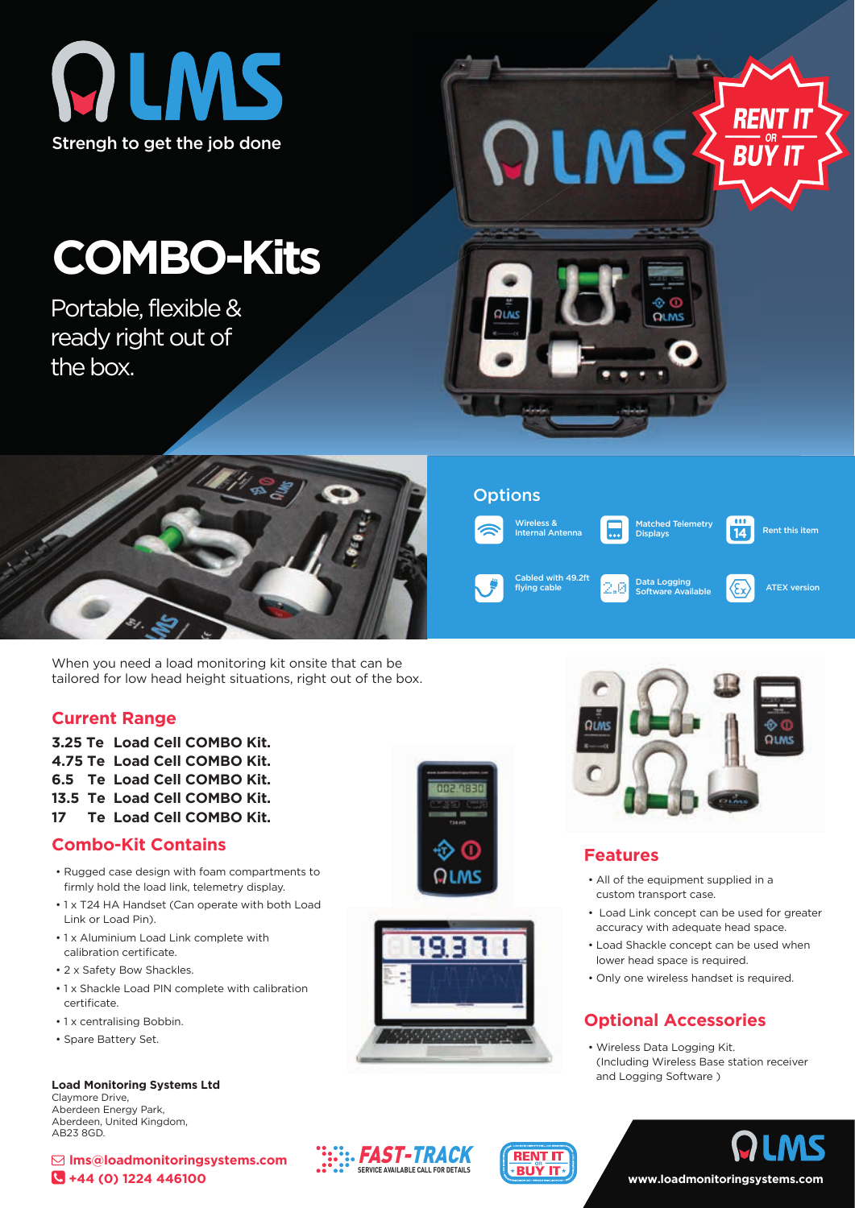

# **COMBO-Kits**

Portable, flexible & ready right out of the box.



When you need a load monitoring kit onsite that can be tailored for low head height situations, right out of the box.

#### **Current Range**

**3.25 Te Load Cell COMBO Kit. 4.75 Te Load Cell COMBO Kit. 6.5 Te Load Cell COMBO Kit. 13.5 Te Load Cell COMBO Kit. 17 Te Load Cell COMBO Kit.**

# **Combo-Kit Contains**

- Rugged case design with foam compartments to firmly hold the load link, telemetry display.
- 1 x T24 HA Handset (Can operate with both Load Link or Load Pin).
- 1 x Aluminium Load Link complete with calibration certificate.
- 2 x Safety Bow Shackles.
- 1 x Shackle Load PIN complete with calibration certificate
- 1 x centralising Bobbin.
- Spare Battery Set.

**Load Monitoring Systems Ltd** Claymore Drive,

Aberdeen Energy Park, Aberdeen, United Kingdom, AB23 8GD.

 **lms@loadmonitoringsystems.com +44 (0) 1224 446100**





**RENT IT** ∗BUŸ IT

**::. FAST-TRACK SERVICE AVAILABLE CALL FOR DETAILS**



#### **Features**

- All of the equipment supplied in a custom transport case.
- Load Link concept can be used for greater accuracy with adequate head space.
- Load Shackle concept can be used when lower head space is required.
- Only one wireless handset is required.

# **Optional Accessories**

• Wireless Data Logging Kit. (Including Wireless Base station receiver and Logging Software )



Wireless & Internal Antenna

QLMS

**Options** 

OIM



Data Logging Software Available

Cabled with 49.2ft<br>
flying cable **ATEX version**<br>  $\begin{array}{|c|c|c|c|}\n\hline\n\end{array}$  Poftuers Augilable **ATEX** version

latched Telemetry Displays

Rent this item

-111  $\overline{14}$ 

*RENT* 

**BUY IT** 





**www.loadmonitoringsystems.com**